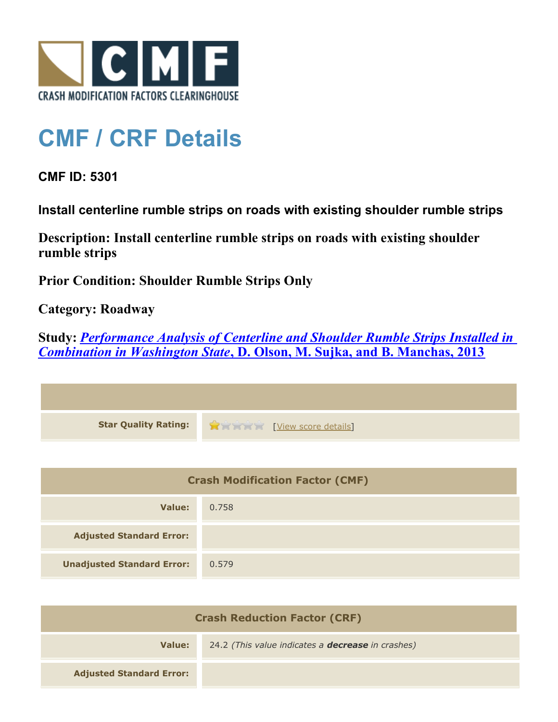

## **CMF / CRF Details**

**CMF ID: 5301**

**Install centerline rumble strips on roads with existing shoulder rumble strips**

**Description: Install centerline rumble strips on roads with existing shoulder rumble strips**

**Prior Condition: Shoulder Rumble Strips Only**

**Category: Roadway**

**Study:** *[Performance Analysis of Centerline and Shoulder Rumble Strips Installed in](http://www.cmfclearinghouse.org/study_detail.cfm?stid=334) [Combination in Washington State](http://www.cmfclearinghouse.org/study_detail.cfm?stid=334)***[, D. Olson, M. Sujka, and B. Manchas, 2013](http://www.cmfclearinghouse.org/study_detail.cfm?stid=334)**

| <b>Crash Modification Factor (CMF)</b> |       |
|----------------------------------------|-------|
| Value:                                 | 0.758 |
| <b>Adjusted Standard Error:</b>        |       |
| <b>Unadjusted Standard Error:</b>      | 0.579 |

| <b>Crash Reduction Factor (CRF)</b> |                                                          |
|-------------------------------------|----------------------------------------------------------|
| Value:                              | 24.2 (This value indicates a <b>decrease</b> in crashes) |
| <b>Adjusted Standard Error:</b>     |                                                          |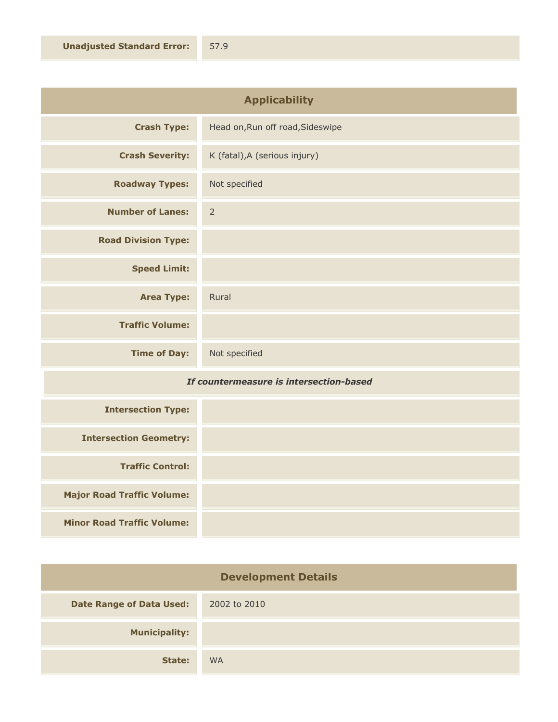| <b>Applicability</b>       |                                  |
|----------------------------|----------------------------------|
| <b>Crash Type:</b>         | Head on, Run off road, Sideswipe |
| <b>Crash Severity:</b>     | K (fatal), A (serious injury)    |
| <b>Roadway Types:</b>      | Not specified                    |
| <b>Number of Lanes:</b>    | $\overline{2}$                   |
| <b>Road Division Type:</b> |                                  |
| <b>Speed Limit:</b>        |                                  |
| <b>Area Type:</b>          | Rural                            |
| <b>Traffic Volume:</b>     |                                  |
| <b>Time of Day:</b>        | Not specified                    |

## *If countermeasure is intersection-based*

| <b>Intersection Type:</b>         |  |
|-----------------------------------|--|
| <b>Intersection Geometry:</b>     |  |
| <b>Traffic Control:</b>           |  |
| <b>Major Road Traffic Volume:</b> |  |
| <b>Minor Road Traffic Volume:</b> |  |

| <b>Development Details</b>      |              |
|---------------------------------|--------------|
| <b>Date Range of Data Used:</b> | 2002 to 2010 |
| <b>Municipality:</b>            |              |
| State:                          | <b>WA</b>    |